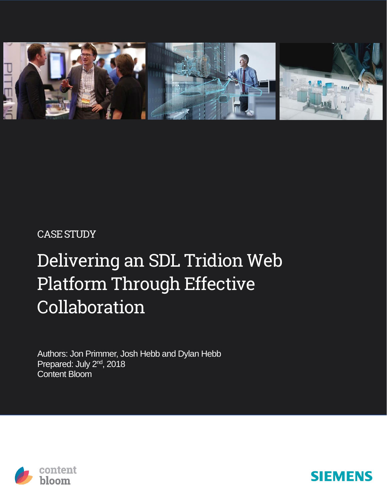

#### CASESTUDY

## Delivering an SDL Tridion Web Platform Through Effective Collaboration

Authors: Jon Primmer, Josh Hebb and Dylan Hebb Prepared: July 2<sup>nd</sup>, 2018 Content Bloom



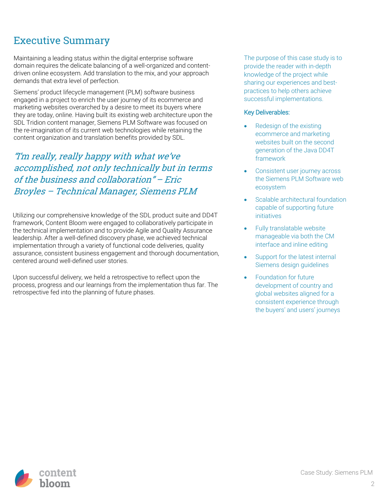#### Executive Summary

Maintaining a leading status within the digital enterprise software domain requires the delicate balancing of a well-organized and contentdriven online ecosystem. Add translation to the mix, and your approach demands that extra level of perfection.

Siemens' product lifecycle management (PLM) software business engaged in a project to enrich the user journey of its ecommerce and marketing websites overarched by a desire to meet its buyers where they are today, online. Having built its existing web architecture upon the SDL Tridion content manager, Siemens PLM Software was focused on the re-imagination of its current web technologies while retaining the content organization and translation benefits provided by SDL.

"I'm really, really happy with what we've accomplished, not only technically but in terms of the business and collaboration" – Eric Broyles – Technical Manager, Siemens PLM

Utilizing our comprehensive knowledge of the SDL product suite and DD4T framework, Content Bloom were engaged to collaboratively participate in the technical implementation and to provide Agile and Quality Assurance leadership. After a well-defined discovery phase, we achieved technical implementation through a variety of functional code deliveries, quality assurance, consistent business engagement and thorough documentation, centered around well-defined user stories.

Upon successful delivery, we held a retrospective to reflect upon the process, progress and our learnings from the implementation thus far. The retrospective fed into the planning of future phases.

The purpose of this case study is to provide the reader with in-depth knowledge of the project while sharing our experiences and bestpractices to help others achieve successful implementations.

#### Key Deliverables:

- Redesign of the existing ecommerce and marketing websites built on the second generation of the Java DD4T framework
- Consistent user journey across the Siemens PLM Software web ecosystem
- Scalable architectural foundation capable of supporting future initiatives
- Fully translatable website manageable via both the CM interface and inline editing
- Support for the latest internal Siemens design guidelines
- Foundation for future development of country and global websites aligned for a consistent experience through the buyers' and users' journeys

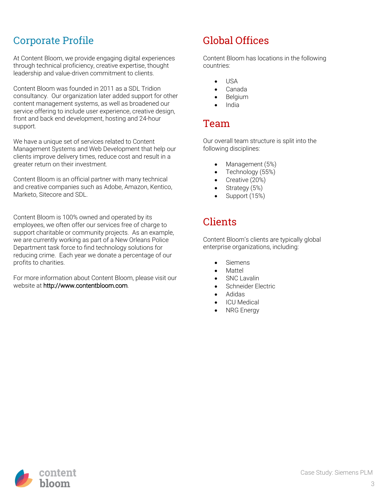#### Corporate Profile

At Content Bloom, we provide engaging digital experiences through technical proficiency, creative expertise, thought leadership and value-driven commitment to clients.

Content Bloom was founded in 2011 as a SDL Tridion consultancy. Our organization later added support for other content management systems, as well as broadened our service offering to include user experience, creative design, front and back end development, hosting and 24-hour support.

We have a unique set of services related to Content Management Systems and Web Development that help our clients improve delivery times, reduce cost and result in a greater return on their investment.

Content Bloom is an official partner with many technical and creative companies such as Adobe, Amazon, Kentico, Marketo, Sitecore and SDL.

Content Bloom is 100% owned and operated by its employees, we often offer our services free of charge to support charitable or community projects. As an example, we are currently working as part of a New Orleans Police Department task force to find technology solutions for reducing crime. Each year we donate a percentage of our profits to charities.

For more information about Content Bloom, please visit our website at http://www.contentbloom.com.

#### Global Offices

Content Bloom has locations in the following countries:

- USA
- Canada
- Belgium
- India

#### Team

Our overall team structure is split into the following disciplines:

- Management (5%)
- Technology (55%)
- Creative (20%)
- Strategy (5%)
- Support (15%)

#### Clients

Content Bloom's clients are typically global enterprise organizations, including:

- Siemens
- Mattel
- SNC Lavalin
- Schneider Electric
- Adidas
- **ICU** Medical
- **NRG** Energy

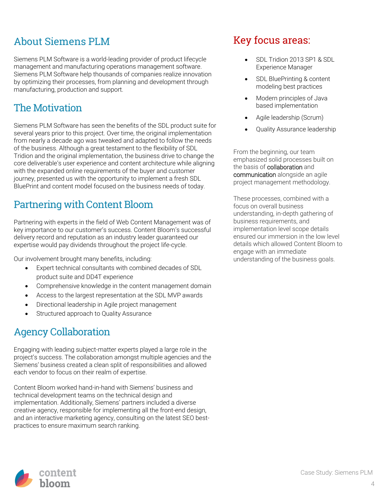#### About Siemens PLM

Siemens PLM Software is a world-leading provider of product lifecycle management and manufacturing operations management software. Siemens PLM Software help thousands of companies realize innovation by optimizing their processes, from planning and development through manufacturing, production and support.

#### The Motivation

Siemens PLM Software has seen the benefits of the SDL product suite for several years prior to this project. Over time, the original implementation from nearly a decade ago was tweaked and adapted to follow the needs of the business. Although a great testament to the flexibility of SDL Tridion and the original implementation, the business drive to change the core deliverable's user experience and content architecture while aligning with the expanded online requirements of the buyer and customer journey, presented us with the opportunity to implement a fresh SDL BluePrint and content model focused on the business needs of today.

#### Partnering with Content Bloom

Partnering with experts in the field of Web Content Management was of key importance to our customer's success. Content Bloom's successful delivery record and reputation as an industry leader guaranteed our expertise would pay dividends throughout the project life-cycle.

Our involvement brought many benefits, including:

- Expert technical consultants with combined decades of SDL product suite and DD4T experience
- Comprehensive knowledge in the content management domain
- Access to the largest representation at the SDL MVP awards
- Directional leadership in Agile project management
- Structured approach to Quality Assurance

#### Agency Collaboration

Engaging with leading subject-matter experts played a large role in the project's success. The collaboration amongst multiple agencies and the Siemens' business created a clean split of responsibilities and allowed each vendor to focus on their realm of expertise.

Content Bloom worked hand-in-hand with Siemens' business and technical development teams on the technical design and implementation. Additionally, Siemens' partners included a diverse creative agency, responsible for implementing all the front-end design, and an interactive marketing agency, consulting on the latest SEO bestpractices to ensure maximum search ranking.

#### Key focus areas:

- SDL Tridion 2013 SP1 & SDL Experience Manager
- SDL BluePrinting & content modeling best practices
- Modern principles of Java based implementation
- Agile leadership (Scrum)
- Quality Assurance leadership

From the beginning, our team emphasized solid processes built on the basis of collaboration and communication alongside an agile project management methodology.

These processes, combined with a focus on overall business understanding, in-depth gathering of business requirements, and implementation level scope details ensured our immersion in the low level details which allowed Content Bloom to engage with an immediate understanding of the business goals.

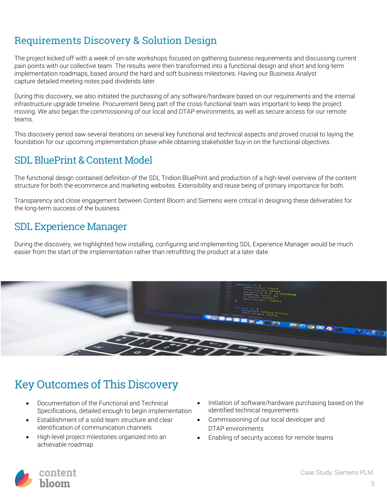#### Requirements Discovery & Solution Design

The project kicked off with a week of on-site workshops focused on gathering business requirements and discussing current pain points with our collective team. The results were then transformed into a functional design and short and long-term implementation roadmaps, based around the hard and soft business milestones. Having our Business Analyst capture detailed meeting notes paid dividends later.

During this discovery, we also initiated the purchasing of any software/hardware based on our requirements and the internal infrastructure upgrade timeline. Procurement being part of the cross-functional team was important to keep the project moving. We also began the commissioning of our local and DTAP environments, as well as secure access for our remote teams.

This discovery period saw several iterations on several key functional and technical aspects and proved crucial to laying the foundation for our upcoming implementation phase while obtaining stakeholder buy-in on the functional objectives.

#### SDL BluePrint & Content Model

The functional design contained definition of the SDL Tridion BluePrint and production of a high-level overview of the content structure for both the ecommerce and marketing websites. Extensibility and reuse being of primary importance for both.

Transparency and close engagement between Content Bloom and Siemens were critical in designing these deliverables for the long-term success of the business.

#### SDL Experience Manager

During the discovery, we highlighted how installing, configuring and implementing SDL Experience Manager would be much easier from the start of the implementation rather than retrofitting the product at a later date.



## Key Outcomes of This Discovery

- Documentation of the Functional and Technical Specifications, detailed enough to begin implementation
- Establishment of a solid team structure and clear identification of communication channels
- High-level project milestones organized into an achievable roadmap
- Initiation of software/hardware purchasing based on the identified technical requirements
- Commissioning of our local developer and DTAP environments
- Enabling of security access for remote teams

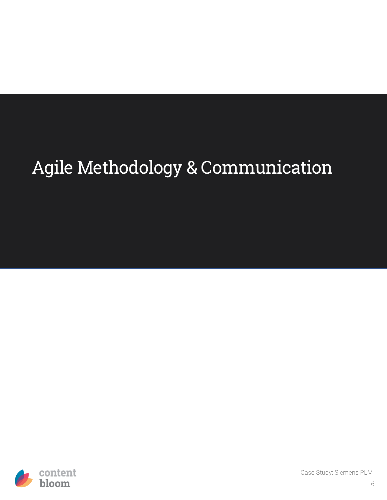# Agile Methodology & Communication

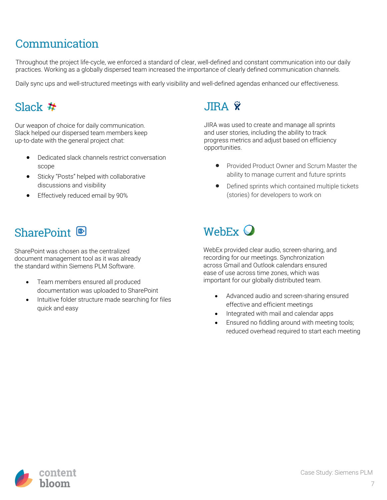## Communication

Throughout the project life-cycle, we enforced a standard of clear, well-defined and constant communication into our daily practices. Working as a globally dispersed team increased the importance of clearly defined communication channels.

Daily sync ups and well-structured meetings with early visibility and well-defined agendas enhanced our effectiveness.

### Slack  $#$

Our weapon of choice for daily communication. Slack helped our dispersed team members keep up-to-date with the general project chat:

- Dedicated slack channels restrict conversation scope
- Sticky "Posts" helped with collaborative discussions and visibility
- Effectively reduced email by 90%

### SharePoint <sup>®</sup>

SharePoint was chosen as the centralized document management tool as it was already the standard within Siemens PLM Software.

- Team members ensured all produced documentation was uploaded to SharePoint
- Intuitive folder structure made searching for files quick and easy

## **JIRA Ÿ**

JIRA was used to create and manage all sprints and user stories, including the ability to track progress metrics and adjust based on efficiency opportunities.

- Provided Product Owner and Scrum Master the ability to manage current and future sprints
- Defined sprints which contained multiple tickets (stories) for developers to work on

## WebEx  $\mathbf Q$

WebEx provided clear audio, screen-sharing, and recording for our meetings. Synchronization across Gmail and Outlook calendars ensured ease of use across time zones, which was important for our globally distributed team.

- Advanced audio and screen-sharing ensured effective and efficient meetings
- Integrated with mail and calendar apps
- Ensured no fiddling around with meeting tools; reduced overhead required to start each meeting

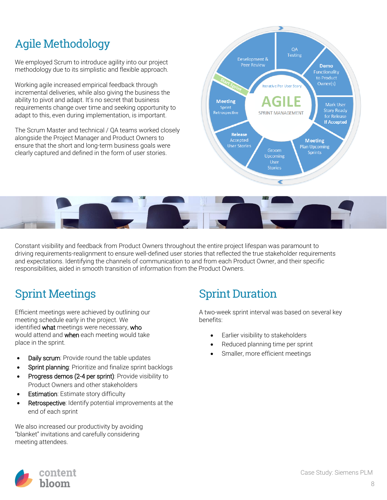## Agile Methodology

We employed Scrum to introduce agility into our project methodology due to its simplistic and flexible approach.

Working agile increased empirical feedback through incremental deliveries, while also giving the business the ability to pivot and adapt. It's no secret that business requirements change over time and seeking opportunity to adapt to this, even during implementation, is important.

The Scrum Master and technical / QA teams worked closely alongside the Project Manager and Product Owners to ensure that the short and long-term business goals were clearly captured and defined in the form of user stories.





Constant visibility and feedback from Product Owners throughout the entire project lifespan was paramount to driving requirements-realignment to ensure well-defined user stories that reflected the true stakeholder requirements and expectations. Identifying the channels of communication to and from each Product Owner, and their specific responsibilities, aided in smooth transition of information from the Product Owners.

## Sprint Meetings

Efficient meetings were achieved by outlining our meeting schedule early in the project. We identified what meetings were necessary, who would attend and **when** each meeting would take place in the sprint.

- Daily scrum: Provide round the table updates
- Sprint planning: Prioritize and finalize sprint backlogs
- Progress demos (2-4 per sprint): Provide visibility to Product Owners and other stakeholders
- Estimation: Estimate story difficulty
- Retrospective: Identify potential improvements at the end of each sprint

We also increased our productivity by avoiding "blanket" invitations and carefully considering meeting attendees.

## Sprint Duration

A two-week sprint interval was based on several key benefits:

- Earlier visibility to stakeholders
- Reduced planning time per sprint
- Smaller, more efficient meetings

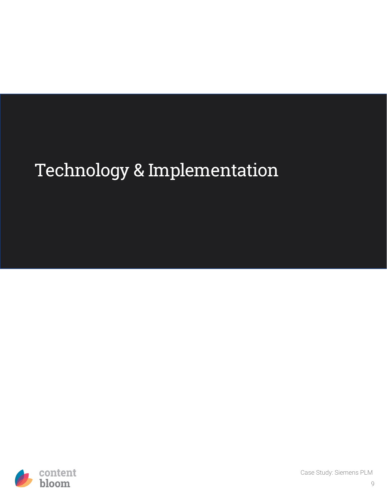## Technology & Implementation

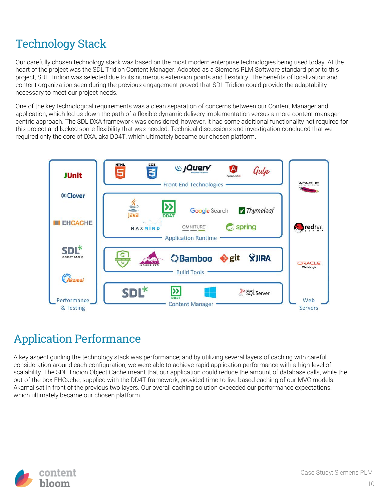## Technology Stack

Our carefully chosen technology stack was based on the most modern enterprise technologies being used today. At the heart of the project was the SDL Tridion Content Manager. Adopted as a Siemens PLM Software standard prior to this project, SDL Tridion was selected due to its numerous extension points and flexibility. The benefits of localization and content organization seen during the previous engagement proved that SDL Tridion could provide the adaptability necessary to meet our project needs.

One of the key technological requirements was a clean separation of concerns between our Content Manager and application, which led us down the path of a flexible dynamic delivery implementation versus a more content managercentric approach. The SDL DXA framework was considered; however, it had some additional functionality not required for this project and lacked some flexibility that was needed. Technical discussions and investigation concluded that we required only the core of DXA, aka DD4T, which ultimately became our chosen platform.



## Application Performance

A key aspect guiding the technology stack was performance; and by utilizing several layers of caching with careful consideration around each configuration, we were able to achieve rapid application performance with a high-level of scalability. The SDL Tridion Object Cache meant that our application could reduce the amount of database calls, while the out-of-the-box EHCache, supplied with the DD4T framework, provided time-to-live based caching of our MVC models. Akamai sat in front of the previous two layers. Our overall caching solution exceeded our performance expectations. which ultimately became our chosen platform.

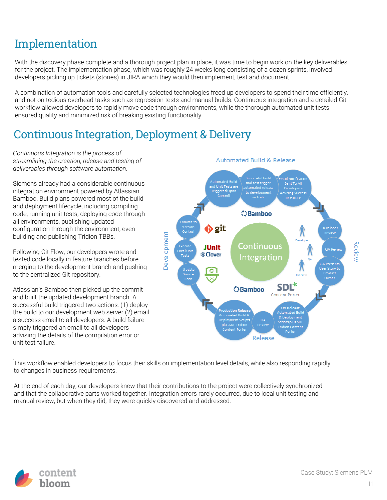## Implementation

With the discovery phase complete and a thorough project plan in place, it was time to begin work on the key deliverables for the project. The implementation phase, which was roughly 24 weeks long consisting of a dozen sprints, involved developers picking up tickets (stories) in JIRA which they would then implement, test and document.

A combination of automation tools and carefully selected technologies freed up developers to spend their time efficiently, and not on tedious overhead tasks such as regression tests and manual builds. Continuous integration and a detailed Git workflow allowed developers to rapidly move code through environments, while the thorough automated unit tests ensured quality and minimized risk of breaking existing functionality.

### Continuous Integration, Deployment & Delivery

*Continuous Integration is the process of streamlining the creation, release and testing of deliverables through software automation.*

Siemens already had a considerable continuous integration environment powered by Atlassian Bamboo. Build plans powered most of the build and deployment lifecycle, including compiling code, running unit tests, deploying code through all environments, publishing updated configuration through the environment, even building and publishing Tridion TBBs.

Following Git Flow, our developers wrote and tested code locally in feature branches before merging to the development branch and pushing to the centralized Git repository.

Atlassian's Bamboo then picked up the commit and built the updated development branch. A successful build triggered two actions: (1) deploy the build to our development web server (2) email a success email to all developers. A build failure simply triggered an email to all developers advising the details of the compilation error or unit test failure.



. This workflow enabled developers to focus their skills on implementation level details, while also responding rapidly to changes in business requirements.

At the end of each day, our developers knew that their contributions to the project were collectively synchronized and that the collaborative parts worked together. Integration errors rarely occurred, due to local unit testing and manual review, but when they did, they were quickly discovered and addressed.

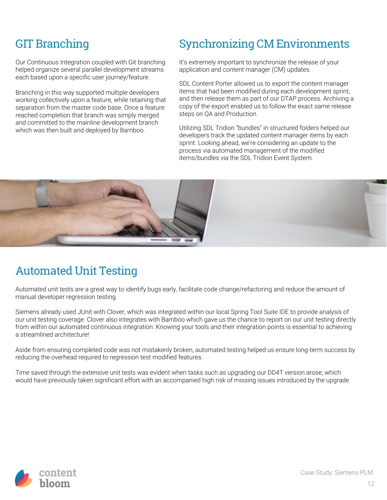## GIT Branching

Our Continuous Integration coupled with Git branching helped organize several parallel development streams each based upon a specific user journey/feature.

Branching in this way supported multiple developers working collectively upon a feature, while retaining that separation from the master code base. Once a feature reached completion that branch was simply merged and committed to the mainline development branch which was then built and deployed by Bamboo.

## Synchronizing CM Environments

It's extremely important to synchronize the release of your application and content manager (CM) updates.

SDL Content Porter allowed us to export the content manager items that had been modified during each development sprint, and then release them as part of our DTAP process. Archiving a copy of the export enabled us to follow the exact same release steps on QA and Production.

Utilizing SDL Tridion "bundles" in structured folders helped our developers track the updated content manager items by each sprint. Looking ahead, we're considering an update to the process via automated management of the modified items/bundles via the SDL Tridion Event System.



### Automated Unit Testing

Automated unit tests are a great way to identify bugs early, facilitate code change/refactoring and reduce the amount of manual developer regression testing.

Siemens already used JUnit with Clover, which was integrated within our local Spring Tool Suite IDE to provide analysis of our unit testing coverage. Clover also integrates with Bamboo which gave us the chance to report on our unit testing directly from within our automated continuous integration. Knowing your tools and their integration points is essential to achieving a streamlined architecture!

Aside from ensuring completed code was not mistakenly broken, automated testing helped us ensure long-term success by reducing the overhead required to regression test modified features.

Time saved through the extensive unit tests was evident when tasks such as upgrading our DD4T version arose, which would have previously taken significant effort with an accompanied high risk of missing issues introduced by the upgrade.

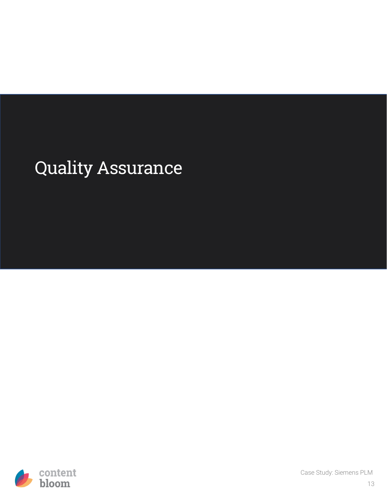## Quality Assurance

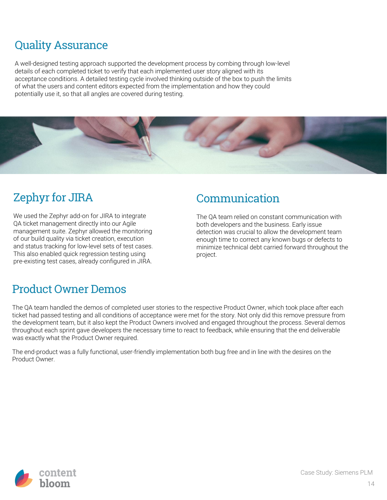## Quality Assurance

A well-designed testing approach supported the development process by combing through low-level details of each completed ticket to verify that each implemented user story aligned with its acceptance conditions. A detailed testing cycle involved thinking outside of the box to push the limits of what the users and content editors expected from the implementation and how they could potentially use it, so that all angles are covered during testing.



### Zephyr for JIRA

We used the Zephyr add-on for JIRA to integrate QA ticket management directly into our Agile management suite. Zephyr allowed the monitoring of our build quality via ticket creation, execution and status tracking for low-level sets of test cases. This also enabled quick regression testing using pre-existing test cases, already configured in JIRA.

#### Communication

The QA team relied on constant communication with both developers and the business. Early issue detection was crucial to allow the development team enough time to correct any known bugs or defects to minimize technical debt carried forward throughout the project.

#### Product Owner Demos

The QA team handled the demos of completed user stories to the respective Product Owner, which took place after each ticket had passed testing and all conditions of acceptance were met for the story. Not only did this remove pressure from the development team, but it also kept the Product Owners involved and engaged throughout the process. Several demos throughout each sprint gave developers the necessary time to react to feedback, while ensuring that the end deliverable was exactly what the Product Owner required.

The end-product was a fully functional, user-friendly implementation both bug free and in line with the desires on the Product Owner.